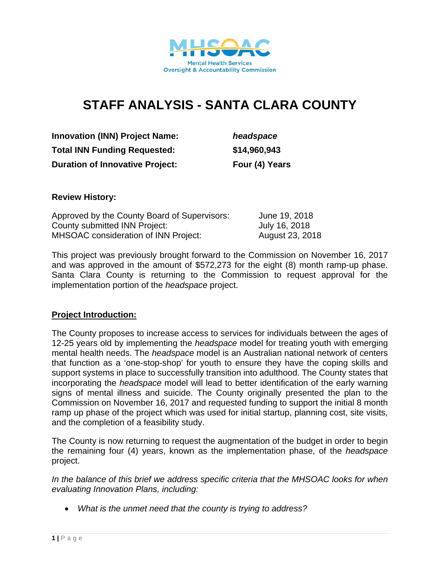

# **STAFF ANALYSIS - SANTA CLARA COUNTY**

**Innovation (INN) Project Name:** *headspace* **Total INN Funding Requested: \$14,960,943 Duration of Innovative Project:** Four (4) Years

#### **Review History:**

| Approved by the County Board of Supervisors: | June 19, 2018   |
|----------------------------------------------|-----------------|
| County submitted INN Project:                | July 16, 2018   |
| <b>MHSOAC</b> consideration of INN Project:  | August 23, 2018 |

This project was previously brought forward to the Commission on November 16, 2017 and was approved in the amount of \$572,273 for the eight (8) month ramp-up phase. Santa Clara County is returning to the Commission to request approval for the implementation portion of the *headspace* project.

#### **Project Introduction:**

The County proposes to increase access to services for individuals between the ages of 12-25 years old by implementing the *headspace* model for treating youth with emerging mental health needs. The *headspace* model is an Australian national network of centers that function as a 'one-stop-shop' for youth to ensure they have the coping skills and support systems in place to successfully transition into adulthood. The County states that incorporating the *headspace* model will lead to better identification of the early warning signs of mental illness and suicide. The County originally presented the plan to the Commission on November 16, 2017 and requested funding to support the initial 8 month ramp up phase of the project which was used for initial startup, planning cost, site visits, and the completion of a feasibility study.

The County is now returning to request the augmentation of the budget in order to begin the remaining four (4) years, known as the implementation phase, of the *headspace* project.

*In the balance of this brief we address specific criteria that the MHSOAC looks for when evaluating Innovation Plans, including:* 

*What is the unmet need that the county is trying to address?*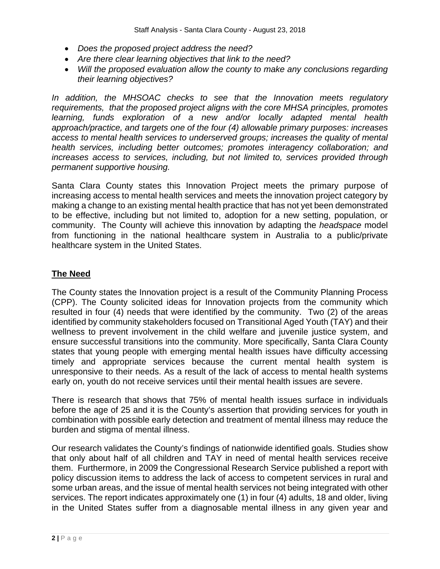- *Does the proposed project address the need?*
- *Are there clear learning objectives that link to the need?*
- *Will the proposed evaluation allow the county to make any conclusions regarding their learning objectives?*

*In addition, the MHSOAC checks to see that the Innovation meets regulatory requirements, that the proposed project aligns with the core MHSA principles, promotes learning, funds exploration of a new and/or locally adapted mental health approach/practice, and targets one of the four (4) allowable primary purposes: increases access to mental health services to underserved groups; increases the quality of mental health services, including better outcomes; promotes interagency collaboration; and increases access to services, including, but not limited to, services provided through permanent supportive housing.* 

Santa Clara County states this Innovation Project meets the primary purpose of increasing access to mental health services and meets the innovation project category by making a change to an existing mental health practice that has not yet been demonstrated to be effective, including but not limited to, adoption for a new setting, population, or community. The County will achieve this innovation by adapting the *headspace* model from functioning in the national healthcare system in Australia to a public/private healthcare system in the United States.

# **The Need**

The County states the Innovation project is a result of the Community Planning Process (CPP). The County solicited ideas for Innovation projects from the community which resulted in four (4) needs that were identified by the community. Two (2) of the areas identified by community stakeholders focused on Transitional Aged Youth (TAY) and their wellness to prevent involvement in the child welfare and juvenile justice system, and ensure successful transitions into the community. More specifically, Santa Clara County states that young people with emerging mental health issues have difficulty accessing timely and appropriate services because the current mental health system is unresponsive to their needs. As a result of the lack of access to mental health systems early on, youth do not receive services until their mental health issues are severe.

There is research that shows that 75% of mental health issues surface in individuals before the age of 25 and it is the County's assertion that providing services for youth in combination with possible early detection and treatment of mental illness may reduce the burden and stigma of mental illness.

Our research validates the County's findings of nationwide identified goals. Studies show that only about half of all children and TAY in need of mental health services receive them. Furthermore, in 2009 the Congressional Research Service published a report with policy discussion items to address the lack of access to competent services in rural and some urban areas, and the issue of mental health services not being integrated with other services. The report indicates approximately one (1) in four (4) adults, 18 and older, living in the United States suffer from a diagnosable mental illness in any given year and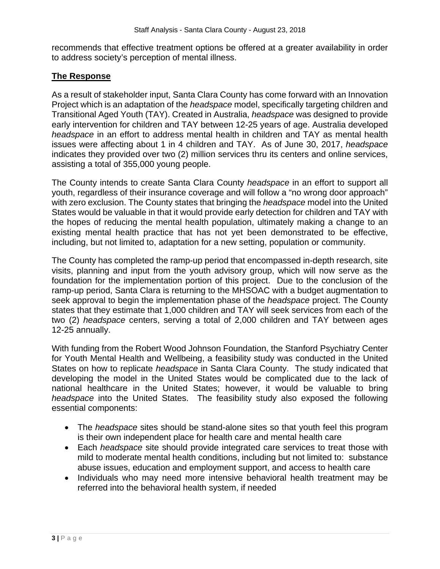recommends that effective treatment options be offered at a greater availability in order to address society's perception of mental illness.

## **The Response**

As a result of stakeholder input, Santa Clara County has come forward with an Innovation Project which is an adaptation of the *headspace* model, specifically targeting children and Transitional Aged Youth (TAY). Created in Australia, *headspace* was designed to provide early intervention for children and TAY between 12-25 years of age. Australia developed *headspace* in an effort to address mental health in children and TAY as mental health issues were affecting about 1 in 4 children and TAY. As of June 30, 2017, *headspace*  indicates they provided over two (2) million services thru its centers and online services, assisting a total of 355,000 young people.

The County intends to create Santa Clara County *headspace* in an effort to support all youth, regardless of their insurance coverage and will follow a "no wrong door approach" with zero exclusion. The County states that bringing the *headspace* model into the United States would be valuable in that it would provide early detection for children and TAY with the hopes of reducing the mental health population, ultimately making a change to an existing mental health practice that has not yet been demonstrated to be effective, including, but not limited to, adaptation for a new setting, population or community.

The County has completed the ramp-up period that encompassed in-depth research, site visits, planning and input from the youth advisory group, which will now serve as the foundation for the implementation portion of this project. Due to the conclusion of the ramp-up period, Santa Clara is returning to the MHSOAC with a budget augmentation to seek approval to begin the implementation phase of the *headspace* project. The County states that they estimate that 1,000 children and TAY will seek services from each of the two (2) *headspace* centers, serving a total of 2,000 children and TAY between ages 12-25 annually.

With funding from the Robert Wood Johnson Foundation, the Stanford Psychiatry Center for Youth Mental Health and Wellbeing, a feasibility study was conducted in the United States on how to replicate *headspace* in Santa Clara County. The study indicated that developing the model in the United States would be complicated due to the lack of national healthcare in the United States; however, it would be valuable to bring *headspace* into the United States. The feasibility study also exposed the following essential components:

- The *headspace* sites should be stand-alone sites so that youth feel this program is their own independent place for health care and mental health care
- Each *headspace* site should provide integrated care services to treat those with mild to moderate mental health conditions, including but not limited to: substance abuse issues, education and employment support, and access to health care
- Individuals who may need more intensive behavioral health treatment may be referred into the behavioral health system, if needed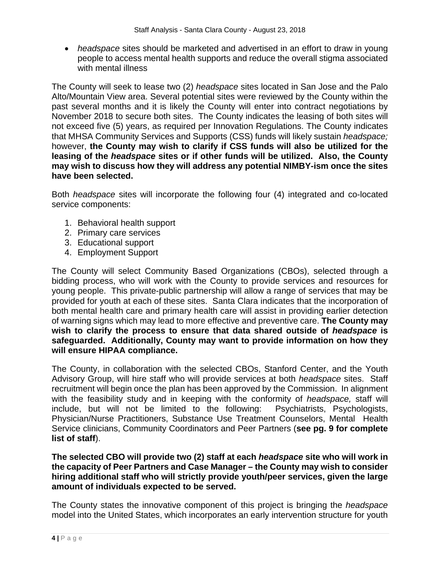*headspace* sites should be marketed and advertised in an effort to draw in young people to access mental health supports and reduce the overall stigma associated with mental illness

The County will seek to lease two (2) *headspace* sites located in San Jose and the Palo Alto/Mountain View area. Several potential sites were reviewed by the County within the past several months and it is likely the County will enter into contract negotiations by November 2018 to secure both sites. The County indicates the leasing of both sites will not exceed five (5) years, as required per Innovation Regulations. The County indicates that MHSA Community Services and Supports (CSS) funds will likely sustain *headspace;*  however, **the County may wish to clarify if CSS funds will also be utilized for the leasing of the** *headspace* **sites or if other funds will be utilized. Also, the County may wish to discuss how they will address any potential NIMBY-ism once the sites have been selected.**

Both *headspace* sites will incorporate the following four (4) integrated and co-located service components:

- 1. Behavioral health support
- 2. Primary care services
- 3. Educational support
- 4. Employment Support

The County will select Community Based Organizations (CBOs), selected through a bidding process, who will work with the County to provide services and resources for young people. This private-public partnership will allow a range of services that may be provided for youth at each of these sites. Santa Clara indicates that the incorporation of both mental health care and primary health care will assist in providing earlier detection of warning signs which may lead to more effective and preventive care. **The County may wish to clarify the process to ensure that data shared outside of** *headspace* **is safeguarded. Additionally, County may want to provide information on how they will ensure HIPAA compliance.**

The County, in collaboration with the selected CBOs, Stanford Center, and the Youth Advisory Group, will hire staff who will provide services at both *headspace* sites. Staff recruitment will begin once the plan has been approved by the Commission. In alignment with the feasibility study and in keeping with the conformity of *headspace,* staff will include, but will not be limited to the following: Psychiatrists, Psychologists, Physician/Nurse Practitioners, Substance Use Treatment Counselors, Mental Health Service clinicians, Community Coordinators and Peer Partners (**see pg. 9 for complete list of staff**).

**The selected CBO will provide two (2) staff at each** *headspace* **site who will work in the capacity of Peer Partners and Case Manager – the County may wish to consider hiring additional staff who will strictly provide youth/peer services, given the large amount of individuals expected to be served.** 

The County states the innovative component of this project is bringing the *headspace* model into the United States, which incorporates an early intervention structure for youth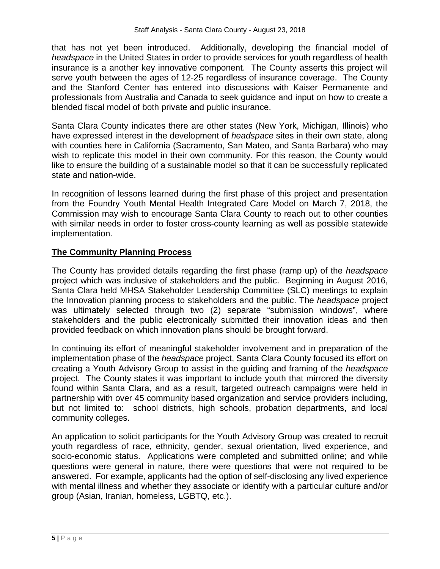that has not yet been introduced. Additionally, developing the financial model of *headspace* in the United States in order to provide services for youth regardless of health insurance is a another key innovative component. The County asserts this project will serve youth between the ages of 12-25 regardless of insurance coverage. The County and the Stanford Center has entered into discussions with Kaiser Permanente and professionals from Australia and Canada to seek guidance and input on how to create a blended fiscal model of both private and public insurance.

Santa Clara County indicates there are other states (New York, Michigan, Illinois) who have expressed interest in the development of *headspace* sites in their own state, along with counties here in California (Sacramento, San Mateo, and Santa Barbara) who may wish to replicate this model in their own community. For this reason, the County would like to ensure the building of a sustainable model so that it can be successfully replicated state and nation-wide.

In recognition of lessons learned during the first phase of this project and presentation from the Foundry Youth Mental Health Integrated Care Model on March 7, 2018, the Commission may wish to encourage Santa Clara County to reach out to other counties with similar needs in order to foster cross-county learning as well as possible statewide implementation.

# **The Community Planning Process**

The County has provided details regarding the first phase (ramp up) of the *headspace* project which was inclusive of stakeholders and the public. Beginning in August 2016, Santa Clara held MHSA Stakeholder Leadership Committee (SLC) meetings to explain the Innovation planning process to stakeholders and the public. The *headspace* project was ultimately selected through two (2) separate "submission windows", where stakeholders and the public electronically submitted their innovation ideas and then provided feedback on which innovation plans should be brought forward.

In continuing its effort of meaningful stakeholder involvement and in preparation of the implementation phase of the *headspace* project, Santa Clara County focused its effort on creating a Youth Advisory Group to assist in the guiding and framing of the *headspace* project. The County states it was important to include youth that mirrored the diversity found within Santa Clara, and as a result, targeted outreach campaigns were held in partnership with over 45 community based organization and service providers including, but not limited to: school districts, high schools, probation departments, and local community colleges.

An application to solicit participants for the Youth Advisory Group was created to recruit youth regardless of race, ethnicity, gender, sexual orientation, lived experience, and socio-economic status. Applications were completed and submitted online; and while questions were general in nature, there were questions that were not required to be answered. For example, applicants had the option of self-disclosing any lived experience with mental illness and whether they associate or identify with a particular culture and/or group (Asian, Iranian, homeless, LGBTQ, etc.).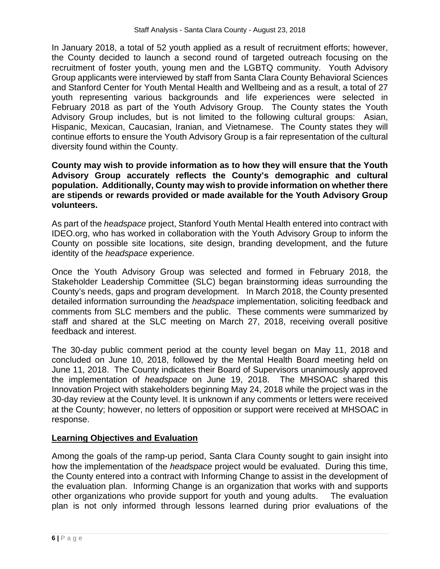In January 2018, a total of 52 youth applied as a result of recruitment efforts; however, the County decided to launch a second round of targeted outreach focusing on the recruitment of foster youth, young men and the LGBTQ community. Youth Advisory Group applicants were interviewed by staff from Santa Clara County Behavioral Sciences and Stanford Center for Youth Mental Health and Wellbeing and as a result, a total of 27 youth representing various backgrounds and life experiences were selected in February 2018 as part of the Youth Advisory Group. The County states the Youth Advisory Group includes, but is not limited to the following cultural groups: Asian, Hispanic, Mexican, Caucasian, Iranian, and Vietnamese. The County states they will continue efforts to ensure the Youth Advisory Group is a fair representation of the cultural diversity found within the County.

#### **County may wish to provide information as to how they will ensure that the Youth Advisory Group accurately reflects the County's demographic and cultural population. Additionally, County may wish to provide information on whether there are stipends or rewards provided or made available for the Youth Advisory Group volunteers.**

As part of the *headspace* project, Stanford Youth Mental Health entered into contract with IDEO.org, who has worked in collaboration with the Youth Advisory Group to inform the County on possible site locations, site design, branding development, and the future identity of the *headspace* experience.

Once the Youth Advisory Group was selected and formed in February 2018, the Stakeholder Leadership Committee (SLC) began brainstorming ideas surrounding the County's needs, gaps and program development. In March 2018, the County presented detailed information surrounding the *headspace* implementation, soliciting feedback and comments from SLC members and the public. These comments were summarized by staff and shared at the SLC meeting on March 27, 2018, receiving overall positive feedback and interest.

The 30-day public comment period at the county level began on May 11, 2018 and concluded on June 10, 2018, followed by the Mental Health Board meeting held on June 11, 2018. The County indicates their Board of Supervisors unanimously approved the implementation of *headspace* on June 19, 2018. The MHSOAC shared this Innovation Project with stakeholders beginning May 24, 2018 while the project was in the 30-day review at the County level. It is unknown if any comments or letters were received at the County; however, no letters of opposition or support were received at MHSOAC in response.

# **Learning Objectives and Evaluation**

Among the goals of the ramp-up period, Santa Clara County sought to gain insight into how the implementation of the *headspace* project would be evaluated. During this time, the County entered into a contract with Informing Change to assist in the development of the evaluation plan. Informing Change is an organization that works with and supports other organizations who provide support for youth and young adults. The evaluation plan is not only informed through lessons learned during prior evaluations of the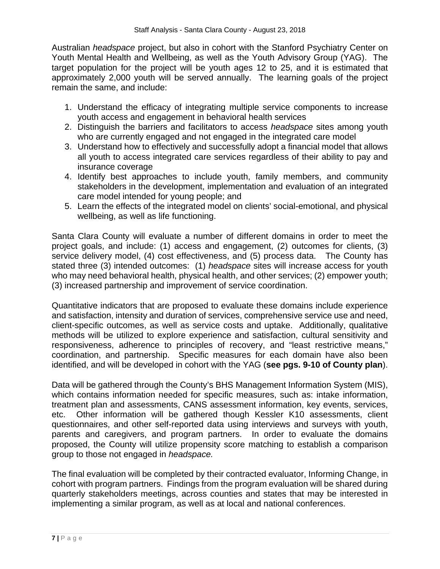Australian *headspace* project, but also in cohort with the Stanford Psychiatry Center on Youth Mental Health and Wellbeing, as well as the Youth Advisory Group (YAG). The target population for the project will be youth ages 12 to 25, and it is estimated that approximately 2,000 youth will be served annually. The learning goals of the project remain the same, and include:

- 1. Understand the efficacy of integrating multiple service components to increase youth access and engagement in behavioral health services
- 2. Distinguish the barriers and facilitators to access *headspace* sites among youth who are currently engaged and not engaged in the integrated care model
- 3. Understand how to effectively and successfully adopt a financial model that allows all youth to access integrated care services regardless of their ability to pay and insurance coverage
- 4. Identify best approaches to include youth, family members, and community stakeholders in the development, implementation and evaluation of an integrated care model intended for young people; and
- 5. Learn the effects of the integrated model on clients' social-emotional, and physical wellbeing, as well as life functioning.

Santa Clara County will evaluate a number of different domains in order to meet the project goals, and include: (1) access and engagement, (2) outcomes for clients, (3) service delivery model, (4) cost effectiveness, and (5) process data. The County has stated three (3) intended outcomes: (1) *headspace* sites will increase access for youth who may need behavioral health, physical health, and other services; (2) empower youth; (3) increased partnership and improvement of service coordination.

Quantitative indicators that are proposed to evaluate these domains include experience and satisfaction, intensity and duration of services, comprehensive service use and need, client-specific outcomes, as well as service costs and uptake. Additionally, qualitative methods will be utilized to explore experience and satisfaction, cultural sensitivity and responsiveness, adherence to principles of recovery, and "least restrictive means," coordination, and partnership. Specific measures for each domain have also been identified, and will be developed in cohort with the YAG (**see pgs. 9-10 of County plan**).

Data will be gathered through the County's BHS Management Information System (MIS), which contains information needed for specific measures, such as: intake information, treatment plan and assessments, CANS assessment information, key events, services, etc. Other information will be gathered though Kessler K10 assessments, client questionnaires, and other self-reported data using interviews and surveys with youth, parents and caregivers, and program partners. In order to evaluate the domains proposed, the County will utilize propensity score matching to establish a comparison group to those not engaged in *headspace.* 

The final evaluation will be completed by their contracted evaluator, Informing Change, in cohort with program partners. Findings from the program evaluation will be shared during quarterly stakeholders meetings, across counties and states that may be interested in implementing a similar program, as well as at local and national conferences.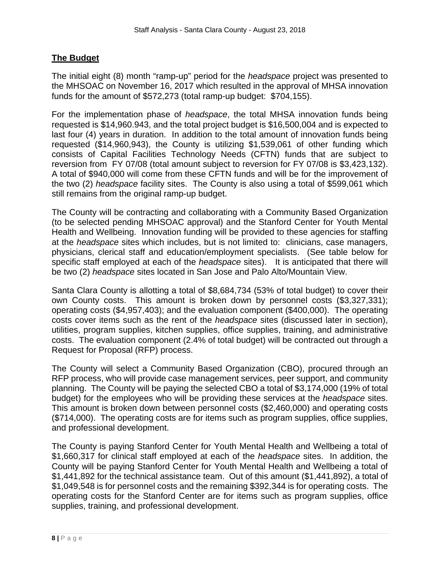# **The Budget**

The initial eight (8) month "ramp-up" period for the *headspace* project was presented to the MHSOAC on November 16, 2017 which resulted in the approval of MHSA innovation funds for the amount of \$572,273 (total ramp-up budget: \$704,155).

For the implementation phase of *headspace*, the total MHSA innovation funds being requested is \$14,960.943, and the total project budget is \$16,500,004 and is expected to last four (4) years in duration. In addition to the total amount of innovation funds being requested (\$14,960,943), the County is utilizing \$1,539,061 of other funding which consists of Capital Facilities Technology Needs (CFTN) funds that are subject to reversion from FY 07/08 (total amount subject to reversion for FY 07/08 is \$3,423,132). A total of \$940,000 will come from these CFTN funds and will be for the improvement of the two (2) *headspace* facility sites. The County is also using a total of \$599,061 which still remains from the original ramp-up budget.

The County will be contracting and collaborating with a Community Based Organization (to be selected pending MHSOAC approval) and the Stanford Center for Youth Mental Health and Wellbeing. Innovation funding will be provided to these agencies for staffing at the *headspace* sites which includes, but is not limited to: clinicians, case managers, physicians, clerical staff and education/employment specialists. (See table below for specific staff employed at each of the *headspace* sites). It is anticipated that there will be two (2) *headspace* sites located in San Jose and Palo Alto/Mountain View.

Santa Clara County is allotting a total of \$8,684,734 (53% of total budget) to cover their own County costs. This amount is broken down by personnel costs (\$3,327,331); operating costs (\$4,957,403); and the evaluation component (\$400,000). The operating costs cover items such as the rent of the *headspace* sites (discussed later in section), utilities, program supplies, kitchen supplies, office supplies, training, and administrative costs. The evaluation component (2.4% of total budget) will be contracted out through a Request for Proposal (RFP) process.

The County will select a Community Based Organization (CBO), procured through an RFP process, who will provide case management services, peer support, and community planning. The County will be paying the selected CBO a total of \$3,174,000 (19% of total budget) for the employees who will be providing these services at the *headspace* sites. This amount is broken down between personnel costs (\$2,460,000) and operating costs (\$714,000). The operating costs are for items such as program supplies, office supplies, and professional development.

The County is paying Stanford Center for Youth Mental Health and Wellbeing a total of \$1,660,317 for clinical staff employed at each of the *headspace* sites. In addition, the County will be paying Stanford Center for Youth Mental Health and Wellbeing a total of \$1,441,892 for the technical assistance team. Out of this amount (\$1,441,892), a total of \$1,049,548 is for personnel costs and the remaining \$392,344 is for operating costs. The operating costs for the Stanford Center are for items such as program supplies, office supplies, training, and professional development.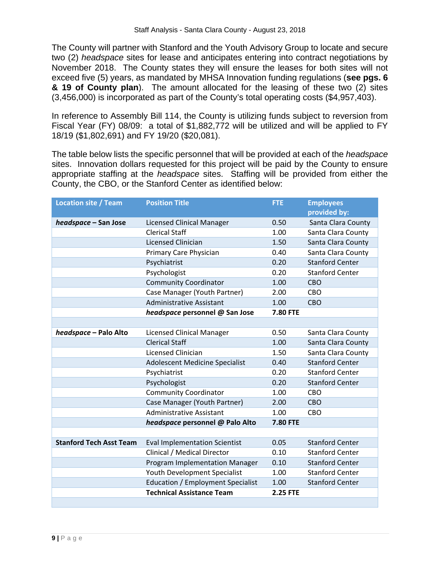The County will partner with Stanford and the Youth Advisory Group to locate and secure two (2) *headspace* sites for lease and anticipates entering into contract negotiations by November 2018. The County states they will ensure the leases for both sites will not exceed five (5) years, as mandated by MHSA Innovation funding regulations (**see pgs. 6 & 19 of County plan**). The amount allocated for the leasing of these two (2) sites (3,456,000) is incorporated as part of the County's total operating costs (\$4,957,403).

In reference to Assembly Bill 114, the County is utilizing funds subject to reversion from Fiscal Year (FY) 08/09: a total of \$1,882,772 will be utilized and will be applied to FY 18/19 (\$1,802,691) and FY 19/20 (\$20,081).

The table below lists the specific personnel that will be provided at each of the *headspace* sites. Innovation dollars requested for this project will be paid by the County to ensure appropriate staffing at the *headspace* sites. Staffing will be provided from either the County, the CBO, or the Stanford Center as identified below:

| <b>Location site / Team</b>    | <b>Position Title</b>                    | <b>FTE</b>      | <b>Employees</b>       |
|--------------------------------|------------------------------------------|-----------------|------------------------|
|                                |                                          |                 | provided by:           |
| headspace - San Jose           | <b>Licensed Clinical Manager</b>         | 0.50            | Santa Clara County     |
|                                | <b>Clerical Staff</b>                    | 1.00            | Santa Clara County     |
|                                | Licensed Clinician                       | 1.50            | Santa Clara County     |
|                                | Primary Care Physician                   | 0.40            | Santa Clara County     |
|                                | Psychiatrist                             | 0.20            | <b>Stanford Center</b> |
|                                | Psychologist                             | 0.20            | <b>Stanford Center</b> |
|                                | <b>Community Coordinator</b>             | 1.00            | CBO                    |
|                                | Case Manager (Youth Partner)             | 2.00            | CBO                    |
|                                | <b>Administrative Assistant</b>          | 1.00            | <b>CBO</b>             |
|                                | headspace personnel @ San Jose           | <b>7.80 FTE</b> |                        |
|                                |                                          |                 |                        |
| headspace - Palo Alto          | <b>Licensed Clinical Manager</b>         | 0.50            | Santa Clara County     |
|                                | <b>Clerical Staff</b>                    | 1.00            | Santa Clara County     |
|                                | Licensed Clinician                       | 1.50            | Santa Clara County     |
|                                | Adolescent Medicine Specialist           | 0.40            | <b>Stanford Center</b> |
|                                | Psychiatrist                             | 0.20            | <b>Stanford Center</b> |
|                                | Psychologist                             | 0.20            | <b>Stanford Center</b> |
|                                | <b>Community Coordinator</b>             | 1.00            | CBO                    |
|                                | Case Manager (Youth Partner)             | 2.00            | <b>CBO</b>             |
|                                | <b>Administrative Assistant</b>          | 1.00            | CBO                    |
|                                | headspace personnel @ Palo Alto          | <b>7.80 FTE</b> |                        |
|                                |                                          |                 |                        |
| <b>Stanford Tech Asst Team</b> | <b>Eval Implementation Scientist</b>     | 0.05            | <b>Stanford Center</b> |
|                                | Clinical / Medical Director              | 0.10            | <b>Stanford Center</b> |
|                                | <b>Program Implementation Manager</b>    | 0.10            | <b>Stanford Center</b> |
|                                | Youth Development Specialist             | 1.00            | <b>Stanford Center</b> |
|                                | <b>Education / Employment Specialist</b> | 1.00            | <b>Stanford Center</b> |
|                                | <b>Technical Assistance Team</b>         | <b>2.25 FTE</b> |                        |
|                                |                                          |                 |                        |